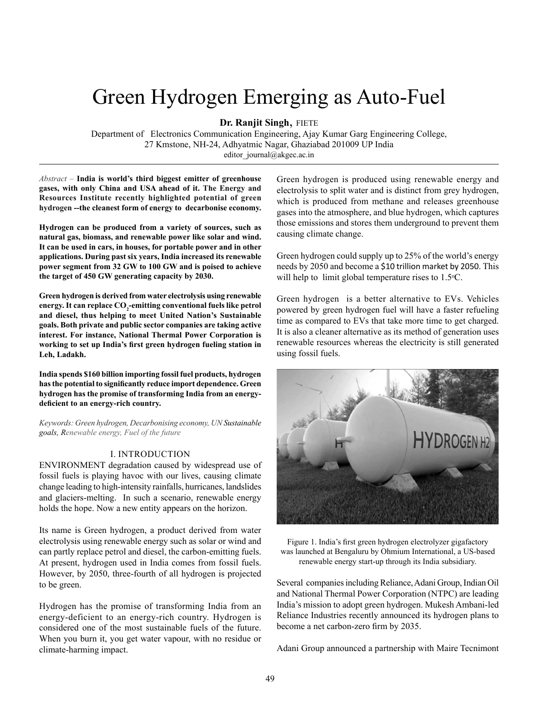# Green Hydrogen Emerging as Auto-Fuel

**Dr. Ranjit Singh**, FIETE

Department of Electronics Communication Engineering, Ajay Kumar Garg Engineering College, 27 Kmstone, NH-24, Adhyatmic Nagar, Ghaziabad 201009 UP India editor\_journal@akgec.ac.in

*Abstract –* **India is world's third biggest emitter of greenhouse gases, with only China and USA ahead of it. The Energy and Resources Institute recently highlighted potential of green hydrogen --the cleanest form of energy to decarbonise economy.** 

**Hydrogen can be produced from a variety of sources, such as natural gas, biomass, and renewable power like solar and wind. It can be used in cars, in houses, for portable power and in other applications. During past six years, India increased its renewable power segment from 32 GW to 100 GW and is poised to achieve the target of 450 GW generating capacity by 2030.**

**Green hydrogen is derived from water electrolysis using renewable**  energy. It can replace CO<sub>2</sub>-emitting conventional fuels like petrol **and diesel, thus helping to meet United Nation's Sustainable goals. Both private and public sector companies are taking active interest. For instance, National Thermal Power Corporation is working to set up India's first green hydrogen fueling station in Leh, Ladakh.**

**India spends \$160 billion importing fossil fuel products, hydrogen has the potential to significantly reduce import dependence. Green hydrogen has the promise of transforming India from an energydeficient to an energy-rich country.**

*Keywords: Green hydrogen, Decarbonising economy, UN Sustainable goals, Renewable energy, Fuel of the future*

### I. INTRODUCTION

ENVIRONMENT degradation caused by widespread use of fossil fuels is playing havoc with our lives, causing climate change leading to high-intensity rainfalls, hurricanes, landslides and glaciers-melting. In such a scenario, renewable energy holds the hope. Now a new entity appears on the horizon.

Its name is Green hydrogen, a product derived from water electrolysis using renewable energy such as solar or wind and can partly replace petrol and diesel, the carbon-emitting fuels. At present, hydrogen used in India comes from fossil fuels. However, by 2050, three-fourth of all hydrogen is projected to be green.

Hydrogen has the promise of transforming India from an energy-deficient to an energy-rich country. Hydrogen is considered one of the most sustainable fuels of the future. When you burn it, you get water vapour, with no residue or climate-harming impact.

Green hydrogen is produced using renewable energy and electrolysis to split water and is distinct from grey hydrogen, which is produced from methane and releases greenhouse gases into the atmosphere, and blue hydrogen, which captures those emissions and stores them underground to prevent them causing climate change.

Green hydrogen could supply up to 25% of the world's energy needs by 2050 and become a \$10 trillion market by 2050. This will help to limit global temperature rises to  $1.5\textdegree C$ .

Green hydrogen is a better alternative to EVs. Vehicles powered by green hydrogen fuel will have a faster refueling time as compared to EVs that take more time to get charged. It is also a cleaner alternative as its method of generation uses renewable resources whereas the electricity is still generated using fossil fuels.



Figure 1. India's first green hydrogen electrolyzer gigafactory was launched at Bengaluru by Ohmium International, a US-based renewable energy start-up through its India subsidiary.

Several companies including Reliance, Adani Group, Indian Oil and National Thermal Power Corporation (NTPC) are leading India's mission to adopt green hydrogen. Mukesh Ambani-led Reliance Industries recently announced its hydrogen plans to become a net carbon-zero firm by 2035.

Adani Group announced a partnership with Maire Tecnimont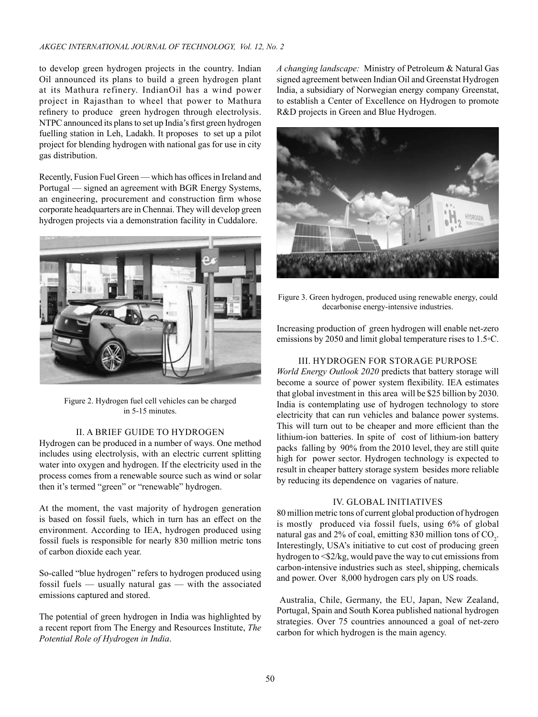to develop green hydrogen projects in the country. Indian Oil announced its plans to build a green hydrogen plant at its Mathura refinery. IndianOil has a wind power project in Rajasthan to wheel that power to Mathura refinery to produce green hydrogen through electrolysis. NTPC announced its plans to set up India's first green hydrogen fuelling station in Leh, Ladakh. It proposes to set up a pilot project for blending hydrogen with national gas for use in city gas distribution.

Recently, Fusion Fuel Green — which has offices in Ireland and Portugal — signed an agreement with BGR Energy Systems, an engineering, procurement and construction firm whose corporate headquarters are in Chennai. They will develop green hydrogen projects via a demonstration facility in Cuddalore.



Figure 2. Hydrogen fuel cell vehicles can be charged in 5-15 minutes.

## II. A BRIEF GUIDE TO HYDROGEN

Hydrogen can be produced in a number of ways. One method includes using electrolysis, with an electric current splitting water into oxygen and hydrogen. If the electricity used in the process comes from a renewable source such as wind or solar then it's termed "green" or "renewable" hydrogen.

At the moment, the vast majority of hydrogen generation is based on fossil fuels, which in turn has an effect on the environment. According to IEA, hydrogen produced using fossil fuels is responsible for nearly 830 million metric tons of carbon dioxide each year.

So-called "blue hydrogen" refers to hydrogen produced using fossil fuels — usually natural gas — with the associated emissions captured and stored.

The potential of green hydrogen in India was highlighted by a recent report from The Energy and Resources Institute, *The Potential Role of Hydrogen in India*.

*A changing landscape:* Ministry of Petroleum & Natural Gas signed agreement between Indian Oil and Greenstat Hydrogen India, a subsidiary of Norwegian energy company Greenstat, to establish a Center of Excellence on Hydrogen to promote R&D projects in Green and Blue Hydrogen.



Figure 3. Green hydrogen, produced using renewable energy, could decarbonise energy-intensive industries.

Increasing production of green hydrogen will enable net-zero emissions by 2050 and limit global temperature rises to 1.5◦C.

# III. HYDROGEN FOR STORAGE PURPOSE

*World Energy Outlook 2020* predicts that battery storage will become a source of power system flexibility. IEA estimates that global investment in this area will be \$25 billion by 2030. India is contemplating use of hydrogen technology to store electricity that can run vehicles and balance power systems. This will turn out to be cheaper and more efficient than the lithium-ion batteries. In spite of cost of lithium-ion battery packs falling by 90% from the 2010 level, they are still quite high for power sector. Hydrogen technology is expected to result in cheaper battery storage system besides more reliable by reducing its dependence on vagaries of nature.

## IV. GLOBAL INITIATIVES

80 million metric tons of current global production of hydrogen is mostly produced via fossil fuels, using 6% of global natural gas and 2% of coal, emitting 830 million tons of  $CO_2$ . Interestingly, USA's initiative to cut cost of producing green hydrogen to <\$2/kg, would pave the way to cut emissions from carbon-intensive industries such as steel, shipping, chemicals and power. Over 8,000 hydrogen cars ply on US roads.

 Australia, Chile, Germany, the EU, Japan, New Zealand, Portugal, Spain and South Korea published national hydrogen strategies. Over 75 countries announced a goal of net-zero carbon for which hydrogen is the main agency.